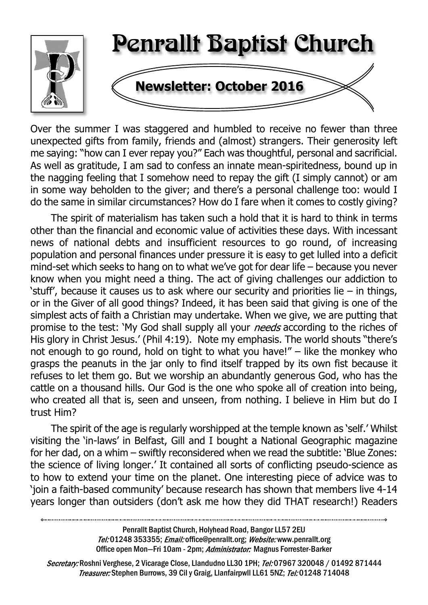

Over the summer I was staggered and humbled to receive no fewer than three unexpected gifts from family, friends and (almost) strangers. Their generosity left me saying: "how can I ever repay you?" Each was thoughtful, personal and sacrificial. As well as gratitude, I am sad to confess an innate mean-spiritedness, bound up in the nagging feeling that I somehow need to repay the gift (I simply cannot) or am in some way beholden to the giver; and there's a personal challenge too: would I do the same in similar circumstances? How do I fare when it comes to costly giving?

The spirit of materialism has taken such a hold that it is hard to think in terms other than the financial and economic value of activities these days. With incessant news of national debts and insufficient resources to go round, of increasing population and personal finances under pressure it is easy to get lulled into a deficit mind-set which seeks to hang on to what we've got for dear life – because you never know when you might need a thing. The act of giving challenges our addiction to 'stuff', because it causes us to ask where our security and priorities lie – in things, or in the Giver of all good things? Indeed, it has been said that giving is one of the simplest acts of faith a Christian may undertake. When we give, we are putting that promise to the test: 'My God shall supply all your *needs* according to the riches of His glory in Christ Jesus.' (Phil 4:19). Note my emphasis. The world shouts "there's not enough to go round, hold on tight to what you have!" – like the monkey who grasps the peanuts in the jar only to find itself trapped by its own fist because it refuses to let them go. But we worship an abundantly generous God, who has the cattle on a thousand hills. Our God is the one who spoke all of creation into being, who created all that is, seen and unseen, from nothing. I believe in Him but do I trust Him?

The spirit of the age is regularly worshipped at the temple known as 'self.' Whilst visiting the 'in-laws' in Belfast, Gill and I bought a National Geographic magazine for her dad, on a whim – swiftly reconsidered when we read the subtitle: 'Blue Zones: the science of living longer.' It contained all sorts of conflicting pseudo-science as to how to extend your time on the planet. One interesting piece of advice was to 'join a faith-based community' because research has shown that members live 4-14 years longer than outsiders (don't ask me how they did THAT research!) Readers

> Penrallt Baptist Church, Holyhead Road, Bangor LL57 2EU Tel:01248 353355; Email: office@penrallt.org; Website: www.penrallt.org Office open Mon-Fri 10am - 2pm; Administrator: Magnus Forrester-Barker

Secretary: Roshni Verghese, 2 Vicarage Close, Llandudno LL30 1PH; Tel: 07967 320048 / 01492 871444 Treasurer: Stephen Burrows, 39 Cil y Graig, Llanfairpwll LL61 5NZ; Tel: 01248 714048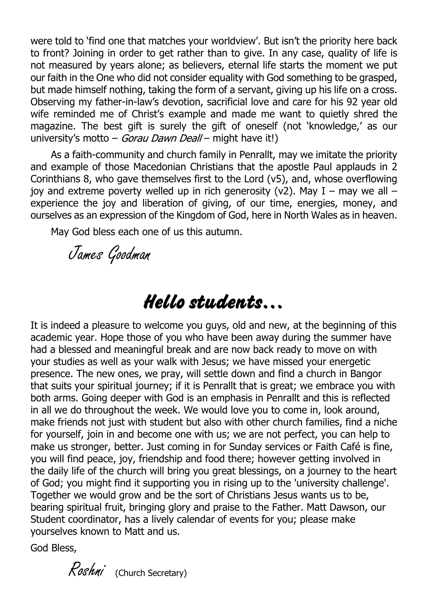were told to 'find one that matches your worldview'. But isn't the priority here back to front? Joining in order to get rather than to give. In any case, quality of life is not measured by years alone; as believers, eternal life starts the moment we put our faith in the One who did not consider equality with God something to be grasped, but made himself nothing, taking the form of a servant, giving up his life on a cross. Observing my father-in-law's devotion, sacrificial love and care for his 92 year old wife reminded me of Christ's example and made me want to quietly shred the magazine. The best gift is surely the gift of oneself (not 'knowledge,' as our university's motto – *Gorau Dawn Deall* – might have it!)

As a faith-community and church family in Penrallt, may we imitate the priority and example of those Macedonian Christians that the apostle Paul applauds in 2 Corinthians 8, who gave themselves first to the Lord (v5), and, whose overflowing joy and extreme poverty welled up in rich generosity (v2). May  $I -$  may we all  $$ experience the joy and liberation of giving, of our time, energies, money, and ourselves as an expression of the Kingdom of God, here in North Wales as in heaven.

May God bless each one of us this autumn.

James Goodman

# **Hello students…**

It is indeed a pleasure to welcome you guys, old and new, at the beginning of this academic year. Hope those of you who have been away during the summer have had a blessed and meaningful break and are now back ready to move on with your studies as well as your walk with Jesus; we have missed your energetic presence. The new ones, we pray, will settle down and find a church in Bangor that suits your spiritual journey; if it is Penrallt that is great; we embrace you with both arms. Going deeper with God is an emphasis in Penrallt and this is reflected in all we do throughout the week. We would love you to come in, look around, make friends not just with student but also with other church families, find a niche for yourself, join in and become one with us; we are not perfect, you can help to make us stronger, better. Just coming in for Sunday services or Faith Café is fine, you will find peace, joy, friendship and food there; however getting involved in the daily life of the church will bring you great blessings, on a journey to the heart of God; you might find it supporting you in rising up to the 'university challenge'. Together we would grow and be the sort of Christians Jesus wants us to be, bearing spiritual fruit, bringing glory and praise to the Father. Matt Dawson, our Student coordinator, has a lively calendar of events for you; please make yourselves known to Matt and us.

God Bless,

Roshni (Church Secretary)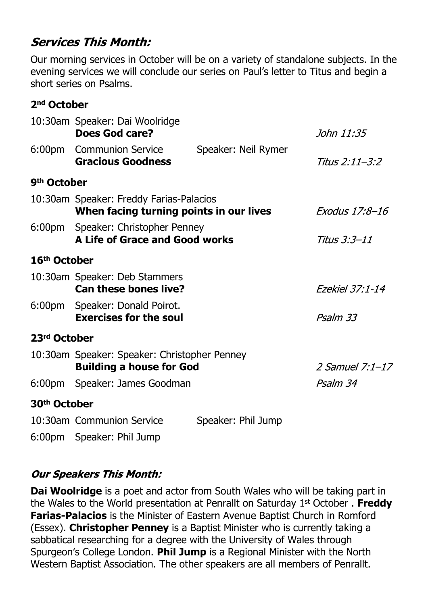# **Services This Month:**

Our morning services in October will be on a variety of standalone subjects. In the evening services we will conclude our series on Paul's letter to Titus and begin a short series on Psalms.

#### **2nd October**

|                          | 10:30am Speaker: Dai Woolridge<br>Does God care?                                   |                     | John 11:35      |
|--------------------------|------------------------------------------------------------------------------------|---------------------|-----------------|
|                          | 6:00pm Communion Service<br><b>Gracious Goodness</b>                               | Speaker: Neil Rymer | Titus 2:11–3:2  |
| 9 <sup>th</sup> October  |                                                                                    |                     |                 |
|                          | 10:30am Speaker: Freddy Farias-Palacios<br>When facing turning points in our lives | Exodus 17:8-16      |                 |
|                          | 6:00pm Speaker: Christopher Penney<br>A Life of Grace and Good works               | Titus 3:3–11        |                 |
| 16 <sup>th</sup> October |                                                                                    |                     |                 |
|                          | 10:30am Speaker: Deb Stammers<br><b>Can these bones live?</b>                      | Ezekiel 37:1-14     |                 |
|                          | 6:00pm Speaker: Donald Poirot.<br><b>Exercises for the soul</b>                    | Psalm 33            |                 |
| 23rd October             |                                                                                    |                     |                 |
|                          | 10:30am Speaker: Speaker: Christopher Penney<br><b>Building a house for God</b>    |                     | 2 Samuel 7:1-17 |
|                          | 6:00pm Speaker: James Goodman                                                      |                     | Psalm 34        |
| 30 <sup>th</sup> October |                                                                                    |                     |                 |
|                          | 10:30am Communion Service                                                          | Speaker: Phil Jump  |                 |

6:00pm Speaker: Phil Jump

# **Our Speakers This Month:**

**Dai Woolridge** is a poet and actor from South Wales who will be taking part in the Wales to the World presentation at Penrallt on Saturday 1st October . **Freddy Farias-Palacios** is the Minister of Eastern Avenue Baptist Church in Romford (Essex). **Christopher Penney** is a Baptist Minister who is currently taking a sabbatical researching for a degree with the University of Wales through Spurgeon's College London. **Phil Jump** is a Regional Minister with the North Western Baptist Association. The other speakers are all members of Penrallt.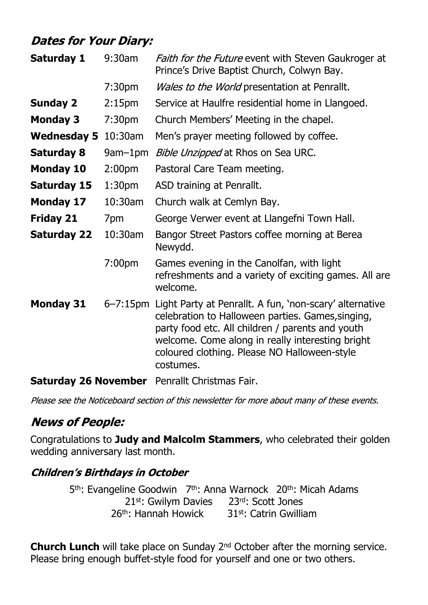# **Dates for Your Diary:**

| Saturday 1                  | 9:30am             | Faith for the Future event with Steven Gaukroger at<br>Prince's Drive Baptist Church, Colwyn Bay.                                                                                                                                                                                          |
|-----------------------------|--------------------|--------------------------------------------------------------------------------------------------------------------------------------------------------------------------------------------------------------------------------------------------------------------------------------------|
|                             | 7:30 <sub>pm</sub> | <i>Wales to the World</i> presentation at Penrallt.                                                                                                                                                                                                                                        |
| <b>Sunday 2</b>             | 2:15 <sub>pm</sub> | Service at Haulfre residential home in Llangoed.                                                                                                                                                                                                                                           |
| <b>Monday 3</b>             | 7:30 <sub>pm</sub> | Church Members' Meeting in the chapel.                                                                                                                                                                                                                                                     |
| Wednesday 5 10:30am         |                    | Men's prayer meeting followed by coffee.                                                                                                                                                                                                                                                   |
| <b>Saturday 8</b>           | 9am-1pm            | Bible Unzipped at Rhos on Sea URC.                                                                                                                                                                                                                                                         |
| <b>Monday 10</b>            | 2:00 <sub>pm</sub> | Pastoral Care Team meeting.                                                                                                                                                                                                                                                                |
| <b>Saturday 15</b>          | 1:30 <sub>pm</sub> | ASD training at Penrallt.                                                                                                                                                                                                                                                                  |
| <b>Monday 17</b>            | 10:30am            | Church walk at Cemlyn Bay.                                                                                                                                                                                                                                                                 |
| <b>Friday 21</b>            | 7pm                | George Verwer event at Llangefni Town Hall.                                                                                                                                                                                                                                                |
| <b>Saturday 22</b>          | 10:30am            | Bangor Street Pastors coffee morning at Berea<br>Newydd.                                                                                                                                                                                                                                   |
|                             | 7:00pm             | Games evening in the Canolfan, with light<br>refreshments and a variety of exciting games. All are<br>welcome.                                                                                                                                                                             |
| <b>Monday 31</b>            |                    | 6-7:15pm Light Party at Penrallt. A fun, 'non-scary' alternative<br>celebration to Halloween parties. Games, singing,<br>party food etc. All children / parents and youth<br>welcome. Come along in really interesting bright<br>coloured clothing. Please NO Halloween-style<br>costumes. |
| <b>Saturday 26 November</b> |                    | Penrallt Christmas Fair.                                                                                                                                                                                                                                                                   |

Please see the Noticeboard section of this newsletter for more about many of these events.

# **News of People:**

Congratulations to **Judy and Malcolm Stammers**, who celebrated their golden wedding anniversary last month.

# **Children's Birthdays in October**

5<sup>th</sup>: Evangeline Goodwin 7<sup>th</sup>: Anna Warnock 20<sup>th</sup>: Micah Adams 21st: Gwilym Davies 23rd: Scott Jones 26<sup>th</sup>: Hannah Howick 31st: Catrin Gwilliam

**Church Lunch** will take place on Sunday 2<sup>nd</sup> October after the morning service. Please bring enough buffet-style food for yourself and one or two others.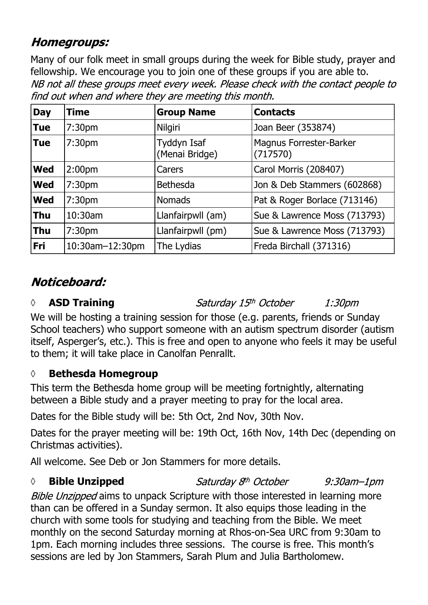# **Homegroups:**

Many of our folk meet in small groups during the week for Bible study, prayer and fellowship. We encourage you to join one of these groups if you are able to.NB not all these groups meet every week. Please check with the contact people to find out when and where they are meeting this month.

| <b>Day</b> | Time                   | <b>Group Name</b>             | <b>Contacts</b>                     |
|------------|------------------------|-------------------------------|-------------------------------------|
| <b>Tue</b> | 7:30 <sub>pm</sub>     | Nilgiri                       | Joan Beer (353874)                  |
| <b>Tue</b> | 7:30 <sub>pm</sub>     | Tyddyn Isaf<br>(Menai Bridge) | Magnus Forrester-Barker<br>(717570) |
| <b>Wed</b> | 2:00 <sub>pm</sub>     | Carers                        | Carol Morris (208407)               |
| <b>Wed</b> | 7:30 <sub>pm</sub>     | <b>Bethesda</b>               | Jon & Deb Stammers (602868)         |
| <b>Wed</b> | 7:30pm                 | <b>Nomads</b>                 | Pat & Roger Borlace (713146)        |
| <b>Thu</b> | 10:30am                | Llanfairpwll (am)             | Sue & Lawrence Moss (713793)        |
| <b>Thu</b> | 7:30pm                 | Llanfairpwll (pm)             | Sue & Lawrence Moss (713793)        |
| Fri        | $10:30$ am $-12:30$ pm | The Lydias                    | Freda Birchall (371316)             |

# Noticeboard:

# *◊* **ASD Training**

Saturday 15th October

1:30*pm* 

We will be hosting a training session for those (e.g. parents, friends or Sunday School teachers) who support someone with an autism spectrum disorder (autism itself, Asperger's, etc.). This is free and open to anyone who feels it may be useful to them; it will take place in Canolfan Penrallt.

# **◊ Bethesda Homegroup**

This term the Bethesda home group will be meeting fortnightly, alternating between a Bible study and a prayer meeting to pray for the local area.

Dates for the Bible study will be: 5th Oct, 2nd Nov, 30th Nov.

Dates for the prayer meeting will be: 19th Oct, 16th Nov, 14th Dec (depending on Christmas activities).

All welcome. See Deb or Jon Stammers for more details.

# *◊* **Bible Unzipped**

Saturday 8<sup>th</sup> October

 $9:30$ am $-1$ pm

Bible Unzipped aims to unpack Scripture with those interested in learning more than can be offered in a Sunday sermon. It also equips those leading in the church with some tools for studying and teaching from the Bible. We meet monthly on the second Saturday morning at Rhos-on-Sea URC from 9:30am to 1pm. Each morning includes three sessions. The course is free. This month's sessions are led by Jon Stammers, Sarah Plum and Julia Bartholomew.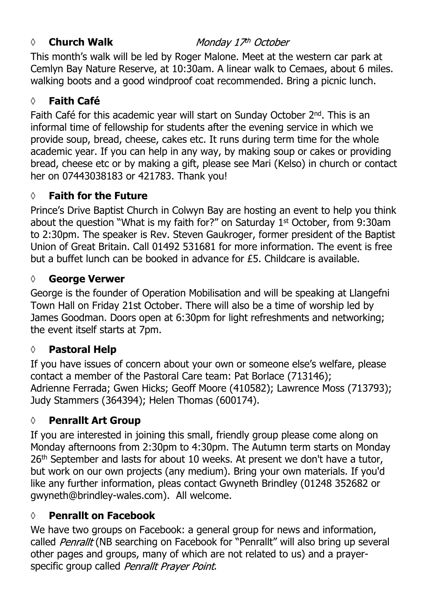#### *◊* **Church Walk**

#### Monday 17th October

This month's walk will be led by Roger Malone. Meet at the western car park at Cemlyn Bay Nature Reserve, at 10:30am. A linear walk to Cemaes, about 6 miles. walking boots and a good windproof coat recommended. Bring a picnic lunch.

# **◊ Faith Café**

Faith Café for this academic year will start on Sunday October 2nd. This is an informal time of fellowship for students after the evening service in which we provide soup, bread, cheese, cakes etc. It runs during term time for the whole academic year. If you can help in any way, by making soup or cakes or providing bread, cheese etc or by making a gift, please see Mari (Kelso) in church or contact her on 07443038183 or 421783. Thank you!

# **◊ Faith for the Future**

Prince's Drive Baptist Church in Colwyn Bay are hosting an event to help you think about the question "What is my faith for?" on Saturday 1<sup>st</sup> October, from 9:30am to 2:30pm. The speaker is Rev. Steven Gaukroger, former president of the Baptist Union of Great Britain. Call 01492 531681 for more information. The event is free but a buffet lunch can be booked in advance for £5. Childcare is available.

# **◊ George Verwer**

George is the founder of Operation Mobilisation and will be speaking at Llangefni Town Hall on Friday 21st October. There will also be a time of worship led by James Goodman. Doors open at 6:30pm for light refreshments and networking; the event itself starts at 7pm.

# **◊ Pastoral Help**

If you have issues of concern about your own or someone else's welfare, please contact a member of the Pastoral Care team: Pat Borlace (713146); Adrienne Ferrada; Gwen Hicks; Geoff Moore (410582); Lawrence Moss (713793); Judy Stammers (364394); Helen Thomas (600174).

# **◊ Penrallt Art Group**

If you are interested in joining this small, friendly group please come along on Monday afternoons from 2:30pm to 4:30pm. The Autumn term starts on Monday 26<sup>th</sup> September and lasts for about 10 weeks. At present we don't have a tutor, but work on our own projects (any medium). Bring your own materials. If you'd like any further information, pleas contact Gwyneth Brindley (01248 352682 or gwyneth@brindley-wales.com). All welcome.

# **◊ Penrallt on Facebook**

We have two groups on Facebook: a general group for news and information, called Penrallt (NB searching on Facebook for "Penrallt" will also bring up several other pages and groups, many of which are not related to us) and a prayerspecific group called Penrallt Prayer Point.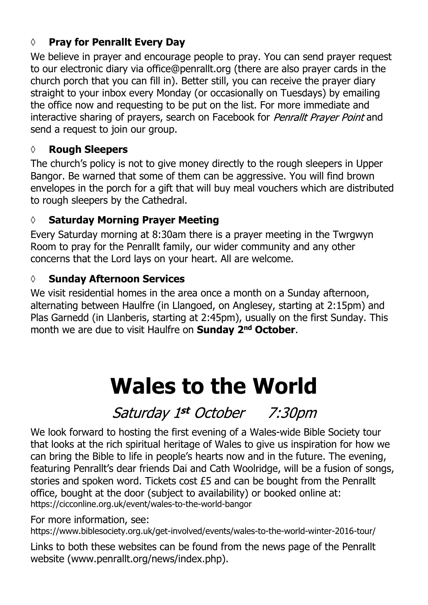# **◊ Pray for Penrallt Every Day**

We believe in prayer and encourage people to pray. You can send prayer request to our electronic diary via office@penrallt.org (there are also prayer cards in the church porch that you can fill in). Better still, you can receive the prayer diary straight to your inbox every Monday (or occasionally on Tuesdays) by emailing the office now and requesting to be put on the list. For more immediate and interactive sharing of prayers, search on Facebook for Penrallt Prayer Point and send a request to join our group.

# **◊ Rough Sleepers**

The church's policy is not to give money directly to the rough sleepers in Upper Bangor. Be warned that some of them can be aggressive. You will find brown envelopes in the porch for a gift that will buy meal vouchers which are distributed to rough sleepers by the Cathedral.

# **◊ Saturday Morning Prayer Meeting**

Every Saturday morning at 8:30am there is a prayer meeting in the Twrgwyn Room to pray for the Penrallt family, our wider community and any other concerns that the Lord lays on your heart. All are welcome.

# **◊ Sunday Afternoon Services**

We visit residential homes in the area once a month on a Sunday afternoon, alternating between Haulfre (in Llangoed, on Anglesey, starting at 2:15pm) and Plas Garnedd (in Llanberis, starting at 2:45pm), usually on the first Sunday. This month we are due to visit Haulfre on **Sunday 2nd October**.

# **Wales to the World**

Saturday 1st October 7:30pm

We look forward to hosting the first evening of a Wales-wide Bible Society tour that looks at the rich spiritual heritage of Wales to give us inspiration for how we can bring the Bible to life in people's hearts now and in the future. The evening, featuring Penrallt's dear friends Dai and Cath Woolridge, will be a fusion of songs, stories and spoken word. Tickets cost £5 and can be bought from the Penrallt office, bought at the door (subject to availability) or booked online at: https://cicconline.org.uk/event/wales-to-the-world-bangor

For more information, see:

https://www.biblesociety.org.uk/get-involved/events/wales-to-the-world-winter-2016-tour/

Links to both these websites can be found from the news page of the Penrallt website (www.penrallt.org/news/index.php).